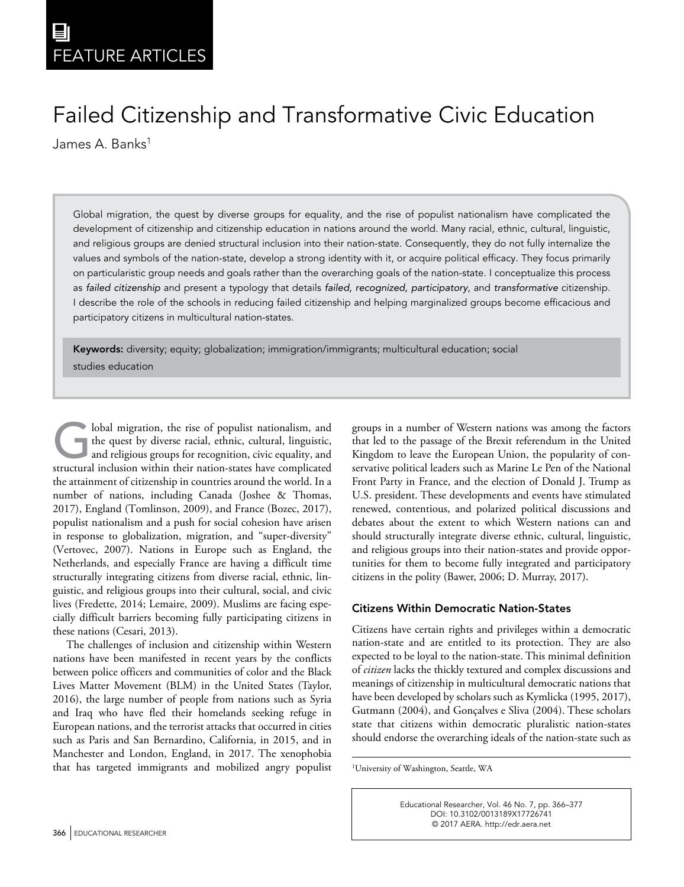# Failed Citizenship and Transformative Civic Education

James A. Banks<sup>1</sup>

**726741**EDRXXX10.3102/0013189X17726741Educational Researcher**Month XXXX**

Global migration, the quest by diverse groups for equality, and the rise of populist nationalism have complicated the development of citizenship and citizenship education in nations around the world. Many racial, ethnic, cultural, linguistic, and religious groups are denied structural inclusion into their nation-state. Consequently, they do not fully internalize the values and symbols of the nation-state, develop a strong identity with it, or acquire political efficacy. They focus primarily on particularistic group needs and goals rather than the overarching goals of the nation-state. I conceptualize this process as *failed citizenship* and present a typology that details *failed, recognized, participatory*, and *transformative* citizenship. I describe the role of the schools in reducing failed citizenship and helping marginalized groups become efficacious and participatory citizens in multicultural nation-states.

Keywords: diversity; equity; globalization; immigration/immigrants; multicultural education; social studies education

Iobal migration, the rise of populist nationalism, and the quest by diverse racial, ethnic, cultural, linguistic, and religious groups for recognition, civic equality, and structural inclusion within their nation-states ha the quest by diverse racial, ethnic, cultural, linguistic, structural inclusion within their nation-states have complicated the attainment of citizenship in countries around the world. In a number of nations, including Canada (Joshee & Thomas, 2017), England (Tomlinson, 2009), and France (Bozec, 2017), populist nationalism and a push for social cohesion have arisen in response to globalization, migration, and "super-diversity" (Vertovec, 2007). Nations in Europe such as England, the Netherlands, and especially France are having a difficult time structurally integrating citizens from diverse racial, ethnic, linguistic, and religious groups into their cultural, social, and civic lives (Fredette, 2014; Lemaire, 2009). Muslims are facing especially difficult barriers becoming fully participating citizens in these nations (Cesari, 2013).

The challenges of inclusion and citizenship within Western nations have been manifested in recent years by the conflicts between police officers and communities of color and the Black Lives Matter Movement (BLM) in the United States (Taylor, 2016), the large number of people from nations such as Syria and Iraq who have fled their homelands seeking refuge in European nations, and the terrorist attacks that occurred in cities such as Paris and San Bernardino, California, in 2015, and in Manchester and London, England, in 2017. The xenophobia that has targeted immigrants and mobilized angry populist groups in a number of Western nations was among the factors that led to the passage of the Brexit referendum in the United Kingdom to leave the European Union, the popularity of conservative political leaders such as Marine Le Pen of the National Front Party in France, and the election of Donald J. Trump as U.S. president. These developments and events have stimulated renewed, contentious, and polarized political discussions and debates about the extent to which Western nations can and should structurally integrate diverse ethnic, cultural, linguistic, and religious groups into their nation-states and provide opportunities for them to become fully integrated and participatory citizens in the polity (Bawer, 2006; D. Murray, 2017).

# Citizens Within Democratic Nation-States

Citizens have certain rights and privileges within a democratic nation-state and are entitled to its protection. They are also expected to be loyal to the nation-state. This minimal definition of *citizen* lacks the thickly textured and complex discussions and meanings of citizenship in multicultural democratic nations that have been developed by scholars such as Kymlicka (1995, 2017), Gutmann (2004), and Gonçalves e Sliva (2004). These scholars state that citizens within democratic pluralistic nation-states should endorse the overarching ideals of the nation-state such as

1 University of Washington, Seattle, WA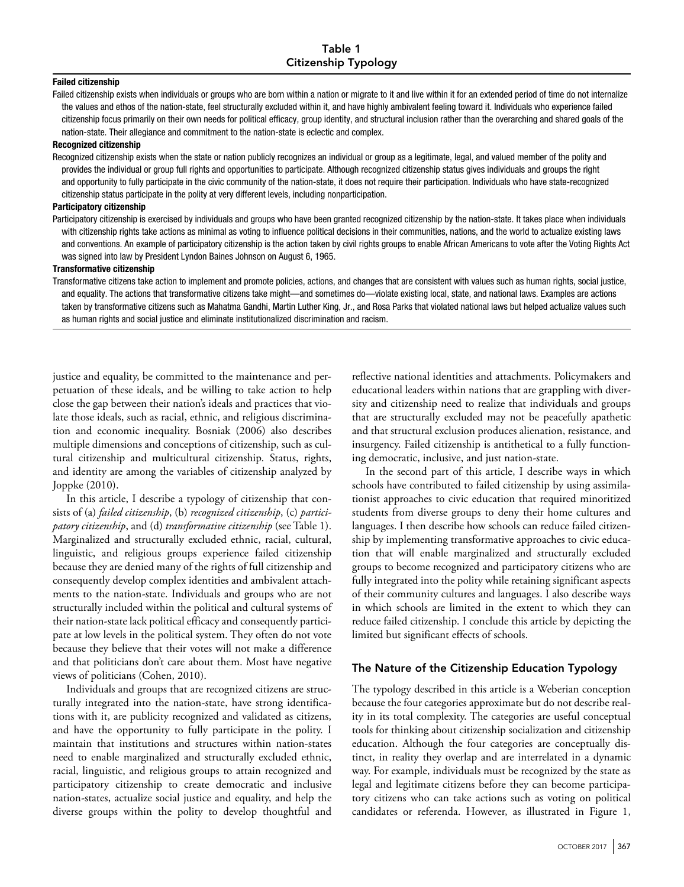#### Failed citizenship

Failed citizenship exists when individuals or groups who are born within a nation or migrate to it and live within it for an extended period of time do not internalize the values and ethos of the nation-state, feel structurally excluded within it, and have highly ambivalent feeling toward it. Individuals who experience failed citizenship focus primarily on their own needs for political efficacy, group identity, and structural inclusion rather than the overarching and shared goals of the nation-state. Their allegiance and commitment to the nation-state is eclectic and complex.

#### Recognized citizenship

Recognized citizenship exists when the state or nation publicly recognizes an individual or group as a legitimate, legal, and valued member of the polity and provides the individual or group full rights and opportunities to participate. Although recognized citizenship status gives individuals and groups the right and opportunity to fully participate in the civic community of the nation-state, it does not require their participation. Individuals who have state-recognized citizenship status participate in the polity at very different levels, including nonparticipation.

#### Participatory citizenship

Participatory citizenship is exercised by individuals and groups who have been granted recognized citizenship by the nation-state. It takes place when individuals with citizenship rights take actions as minimal as voting to influence political decisions in their communities, nations, and the world to actualize existing laws and conventions. An example of participatory citizenship is the action taken by civil rights groups to enable African Americans to vote after the Voting Rights Act was signed into law by President Lyndon Baines Johnson on August 6, 1965.

#### Transformative citizenship

Transformative citizens take action to implement and promote policies, actions, and changes that are consistent with values such as human rights, social justice, and equality. The actions that transformative citizens take might—and sometimes do—violate existing local, state, and national laws. Examples are actions taken by transformative citizens such as Mahatma Gandhi, Martin Luther King, Jr., and Rosa Parks that violated national laws but helped actualize values such as human rights and social justice and eliminate institutionalized discrimination and racism.

justice and equality, be committed to the maintenance and perpetuation of these ideals, and be willing to take action to help close the gap between their nation's ideals and practices that violate those ideals, such as racial, ethnic, and religious discrimination and economic inequality. Bosniak (2006) also describes multiple dimensions and conceptions of citizenship, such as cultural citizenship and multicultural citizenship. Status, rights, and identity are among the variables of citizenship analyzed by Joppke (2010).

In this article, I describe a typology of citizenship that consists of (a) *failed citizenship*, (b) *recognized citizenship*, (c) *participatory citizenship*, and (d) *transformative citizenship* (see Table 1). Marginalized and structurally excluded ethnic, racial, cultural, linguistic, and religious groups experience failed citizenship because they are denied many of the rights of full citizenship and consequently develop complex identities and ambivalent attachments to the nation-state. Individuals and groups who are not structurally included within the political and cultural systems of their nation-state lack political efficacy and consequently participate at low levels in the political system. They often do not vote because they believe that their votes will not make a difference and that politicians don't care about them. Most have negative views of politicians (Cohen, 2010).

Individuals and groups that are recognized citizens are structurally integrated into the nation-state, have strong identifications with it, are publicity recognized and validated as citizens, and have the opportunity to fully participate in the polity. I maintain that institutions and structures within nation-states need to enable marginalized and structurally excluded ethnic, racial, linguistic, and religious groups to attain recognized and participatory citizenship to create democratic and inclusive nation-states, actualize social justice and equality, and help the diverse groups within the polity to develop thoughtful and

reflective national identities and attachments. Policymakers and educational leaders within nations that are grappling with diversity and citizenship need to realize that individuals and groups that are structurally excluded may not be peacefully apathetic and that structural exclusion produces alienation, resistance, and insurgency. Failed citizenship is antithetical to a fully functioning democratic, inclusive, and just nation-state.

In the second part of this article, I describe ways in which schools have contributed to failed citizenship by using assimilationist approaches to civic education that required minoritized students from diverse groups to deny their home cultures and languages. I then describe how schools can reduce failed citizenship by implementing transformative approaches to civic education that will enable marginalized and structurally excluded groups to become recognized and participatory citizens who are fully integrated into the polity while retaining significant aspects of their community cultures and languages. I also describe ways in which schools are limited in the extent to which they can reduce failed citizenship. I conclude this article by depicting the limited but significant effects of schools.

#### The Nature of the Citizenship Education Typology

The typology described in this article is a Weberian conception because the four categories approximate but do not describe reality in its total complexity. The categories are useful conceptual tools for thinking about citizenship socialization and citizenship education. Although the four categories are conceptually distinct, in reality they overlap and are interrelated in a dynamic way. For example, individuals must be recognized by the state as legal and legitimate citizens before they can become participatory citizens who can take actions such as voting on political candidates or referenda. However, as illustrated in Figure 1,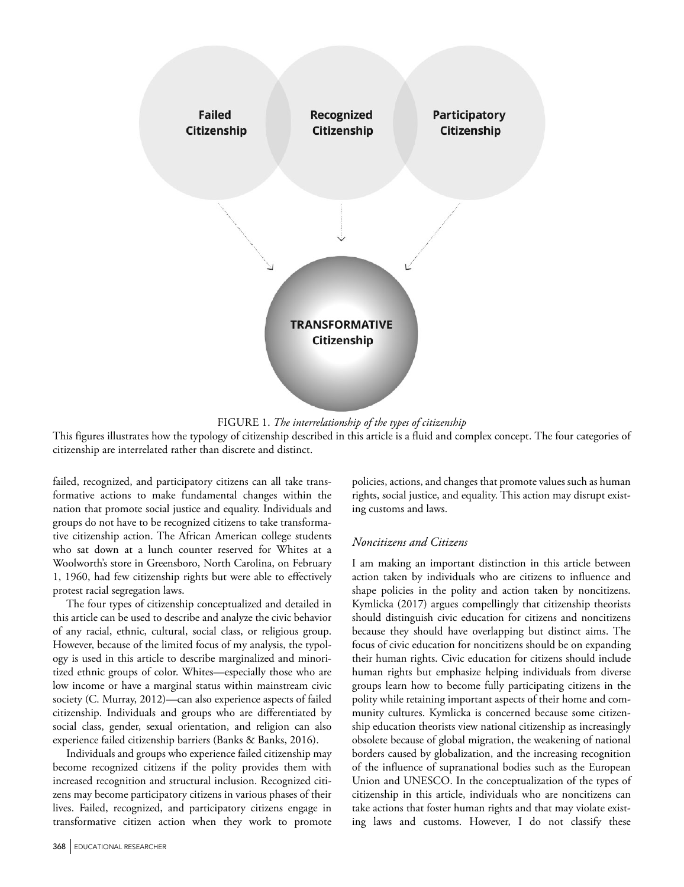

FIGURE 1. *The interrelationship of the types of citizenship* 

This figures illustrates how the typology of citizenship described in this article is a fluid and complex concept. The four categories of citizenship are interrelated rather than discrete and distinct.

failed, recognized, and participatory citizens can all take transformative actions to make fundamental changes within the nation that promote social justice and equality. Individuals and groups do not have to be recognized citizens to take transformative citizenship action. The African American college students who sat down at a lunch counter reserved for Whites at a Woolworth's store in Greensboro, North Carolina, on February 1, 1960, had few citizenship rights but were able to effectively protest racial segregation laws.

The four types of citizenship conceptualized and detailed in this article can be used to describe and analyze the civic behavior of any racial, ethnic, cultural, social class, or religious group. However, because of the limited focus of my analysis, the typology is used in this article to describe marginalized and minoritized ethnic groups of color. Whites—especially those who are low income or have a marginal status within mainstream civic society (C. Murray, 2012)—can also experience aspects of failed citizenship. Individuals and groups who are differentiated by social class, gender, sexual orientation, and religion can also experience failed citizenship barriers (Banks & Banks, 2016).

Individuals and groups who experience failed citizenship may become recognized citizens if the polity provides them with increased recognition and structural inclusion. Recognized citizens may become participatory citizens in various phases of their lives. Failed, recognized, and participatory citizens engage in transformative citizen action when they work to promote

policies, actions, and changes that promote values such as human rights, social justice, and equality. This action may disrupt existing customs and laws.

# *Noncitizens and Citizens*

I am making an important distinction in this article between action taken by individuals who are citizens to influence and shape policies in the polity and action taken by noncitizens. Kymlicka (2017) argues compellingly that citizenship theorists should distinguish civic education for citizens and noncitizens because they should have overlapping but distinct aims. The focus of civic education for noncitizens should be on expanding their human rights. Civic education for citizens should include human rights but emphasize helping individuals from diverse groups learn how to become fully participating citizens in the polity while retaining important aspects of their home and community cultures. Kymlicka is concerned because some citizenship education theorists view national citizenship as increasingly obsolete because of global migration, the weakening of national borders caused by globalization, and the increasing recognition of the influence of supranational bodies such as the European Union and UNESCO. In the conceptualization of the types of citizenship in this article, individuals who are noncitizens can take actions that foster human rights and that may violate existing laws and customs. However, I do not classify these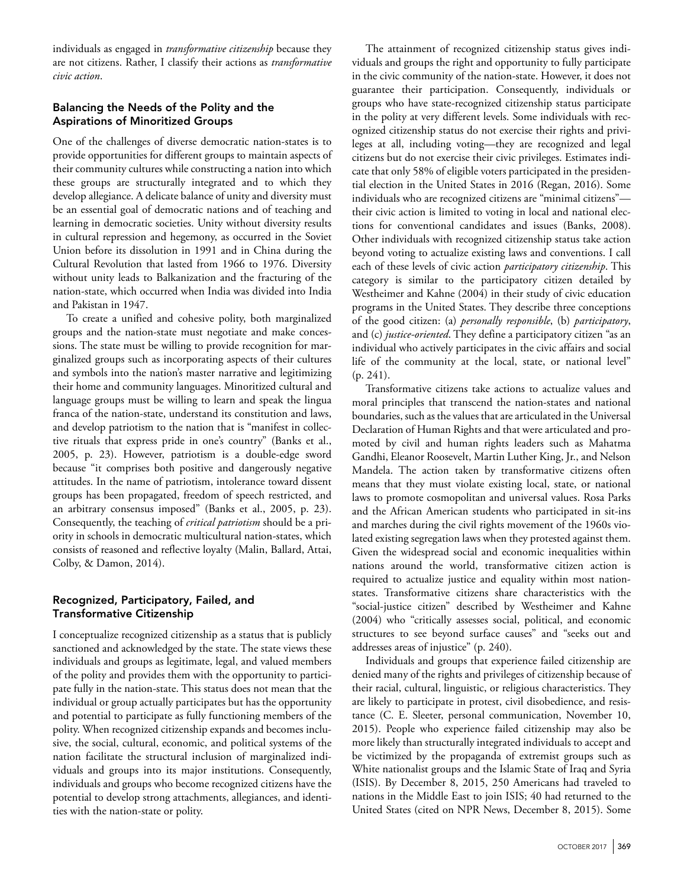individuals as engaged in *transformative citizenship* because they are not citizens. Rather, I classify their actions as *transformative civic action*.

# Balancing the Needs of the Polity and the Aspirations of Minoritized Groups

One of the challenges of diverse democratic nation-states is to provide opportunities for different groups to maintain aspects of their community cultures while constructing a nation into which these groups are structurally integrated and to which they develop allegiance. A delicate balance of unity and diversity must be an essential goal of democratic nations and of teaching and learning in democratic societies. Unity without diversity results in cultural repression and hegemony, as occurred in the Soviet Union before its dissolution in 1991 and in China during the Cultural Revolution that lasted from 1966 to 1976. Diversity without unity leads to Balkanization and the fracturing of the nation-state, which occurred when India was divided into India and Pakistan in 1947.

To create a unified and cohesive polity, both marginalized groups and the nation-state must negotiate and make concessions. The state must be willing to provide recognition for marginalized groups such as incorporating aspects of their cultures and symbols into the nation's master narrative and legitimizing their home and community languages. Minoritized cultural and language groups must be willing to learn and speak the lingua franca of the nation-state, understand its constitution and laws, and develop patriotism to the nation that is "manifest in collective rituals that express pride in one's country" (Banks et al., 2005, p. 23). However, patriotism is a double-edge sword because "it comprises both positive and dangerously negative attitudes. In the name of patriotism, intolerance toward dissent groups has been propagated, freedom of speech restricted, and an arbitrary consensus imposed" (Banks et al., 2005, p. 23). Consequently, the teaching of *critical patriotism* should be a priority in schools in democratic multicultural nation-states, which consists of reasoned and reflective loyalty (Malin, Ballard, Attai, Colby, & Damon, 2014).

# Recognized, Participatory, Failed, and Transformative Citizenship

I conceptualize recognized citizenship as a status that is publicly sanctioned and acknowledged by the state. The state views these individuals and groups as legitimate, legal, and valued members of the polity and provides them with the opportunity to participate fully in the nation-state. This status does not mean that the individual or group actually participates but has the opportunity and potential to participate as fully functioning members of the polity. When recognized citizenship expands and becomes inclusive, the social, cultural, economic, and political systems of the nation facilitate the structural inclusion of marginalized individuals and groups into its major institutions. Consequently, individuals and groups who become recognized citizens have the potential to develop strong attachments, allegiances, and identities with the nation-state or polity.

The attainment of recognized citizenship status gives individuals and groups the right and opportunity to fully participate in the civic community of the nation-state. However, it does not guarantee their participation. Consequently, individuals or groups who have state-recognized citizenship status participate in the polity at very different levels. Some individuals with recognized citizenship status do not exercise their rights and privileges at all, including voting—they are recognized and legal citizens but do not exercise their civic privileges. Estimates indicate that only 58% of eligible voters participated in the presidential election in the United States in 2016 (Regan, 2016). Some individuals who are recognized citizens are "minimal citizens" their civic action is limited to voting in local and national elections for conventional candidates and issues (Banks, 2008). Other individuals with recognized citizenship status take action beyond voting to actualize existing laws and conventions. I call each of these levels of civic action *participatory citizenship*. This category is similar to the participatory citizen detailed by Westheimer and Kahne (2004) in their study of civic education programs in the United States. They describe three conceptions of the good citizen: (a) *personally responsible*, (b) *participatory*, and (c) *justice-oriented*. They define a participatory citizen "as an individual who actively participates in the civic affairs and social life of the community at the local, state, or national level" (p. 241).

Transformative citizens take actions to actualize values and moral principles that transcend the nation-states and national boundaries, such as the values that are articulated in the Universal Declaration of Human Rights and that were articulated and promoted by civil and human rights leaders such as Mahatma Gandhi, Eleanor Roosevelt, Martin Luther King, Jr., and Nelson Mandela. The action taken by transformative citizens often means that they must violate existing local, state, or national laws to promote cosmopolitan and universal values. Rosa Parks and the African American students who participated in sit-ins and marches during the civil rights movement of the 1960s violated existing segregation laws when they protested against them. Given the widespread social and economic inequalities within nations around the world, transformative citizen action is required to actualize justice and equality within most nationstates. Transformative citizens share characteristics with the "social-justice citizen" described by Westheimer and Kahne (2004) who "critically assesses social, political, and economic structures to see beyond surface causes" and "seeks out and addresses areas of injustice" (p. 240).

Individuals and groups that experience failed citizenship are denied many of the rights and privileges of citizenship because of their racial, cultural, linguistic, or religious characteristics. They are likely to participate in protest, civil disobedience, and resistance (C. E. Sleeter, personal communication, November 10, 2015). People who experience failed citizenship may also be more likely than structurally integrated individuals to accept and be victimized by the propaganda of extremist groups such as White nationalist groups and the Islamic State of Iraq and Syria (ISIS). By December 8, 2015, 250 Americans had traveled to nations in the Middle East to join ISIS; 40 had returned to the United States (cited on NPR News, December 8, 2015). Some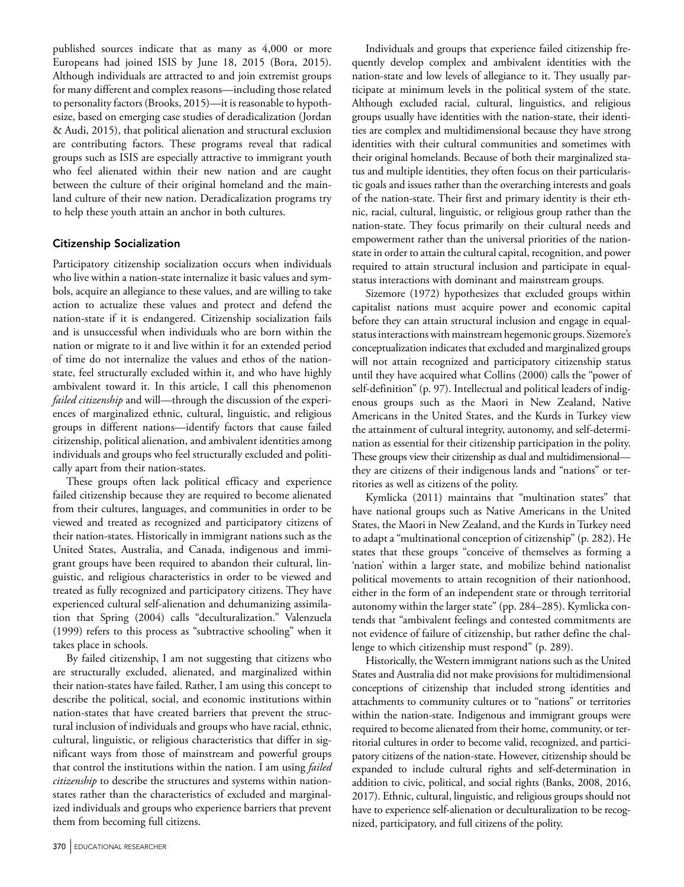published sources indicate that as many as 4,000 or more Europeans had joined ISIS by June 18, 2015 (Bora, 2015). Although individuals are attracted to and join extremist groups for many different and complex reasons—including those related to personality factors (Brooks, 2015)—it is reasonable to hypothesize, based on emerging case studies of deradicalization (Jordan & Audi, 2015), that political alienation and structural exclusion are contributing factors. These programs reveal that radical groups such as ISIS are especially attractive to immigrant youth who feel alienated within their new nation and are caught between the culture of their original homeland and the mainland culture of their new nation. Deradicalization programs try to help these youth attain an anchor in both cultures.

## Citizenship Socialization

Participatory citizenship socialization occurs when individuals who live within a nation-state internalize it basic values and symbols, acquire an allegiance to these values, and are willing to take action to actualize these values and protect and defend the nation-state if it is endangered. Citizenship socialization fails and is unsuccessful when individuals who are born within the nation or migrate to it and live within it for an extended period of time do not internalize the values and ethos of the nationstate, feel structurally excluded within it, and who have highly ambivalent toward it. In this article, I call this phenomenon *failed citizenship* and will—through the discussion of the experiences of marginalized ethnic, cultural, linguistic, and religious groups in different nations—identify factors that cause failed citizenship, political alienation, and ambivalent identities among individuals and groups who feel structurally excluded and politically apart from their nation-states.

These groups often lack political efficacy and experience failed citizenship because they are required to become alienated from their cultures, languages, and communities in order to be viewed and treated as recognized and participatory citizens of their nation-states. Historically in immigrant nations such as the United States, Australia, and Canada, indigenous and immigrant groups have been required to abandon their cultural, linguistic, and religious characteristics in order to be viewed and treated as fully recognized and participatory citizens. They have experienced cultural self-alienation and dehumanizing assimilation that Spring (2004) calls "deculturalization." Valenzuela (1999) refers to this process as "subtractive schooling" when it takes place in schools.

By failed citizenship, I am not suggesting that citizens who are structurally excluded, alienated, and marginalized within their nation-states have failed. Rather, I am using this concept to describe the political, social, and economic institutions within nation-states that have created barriers that prevent the structural inclusion of individuals and groups who have racial, ethnic, cultural, linguistic, or religious characteristics that differ in significant ways from those of mainstream and powerful groups that control the institutions within the nation. I am using *failed citizenship* to describe the structures and systems within nationstates rather than the characteristics of excluded and marginalized individuals and groups who experience barriers that prevent them from becoming full citizens.

Individuals and groups that experience failed citizenship frequently develop complex and ambivalent identities with the nation-state and low levels of allegiance to it. They usually participate at minimum levels in the political system of the state. Although excluded racial, cultural, linguistics, and religious groups usually have identities with the nation-state, their identities are complex and multidimensional because they have strong identities with their cultural communities and sometimes with their original homelands. Because of both their marginalized status and multiple identities, they often focus on their particularistic goals and issues rather than the overarching interests and goals of the nation-state. Their first and primary identity is their ethnic, racial, cultural, linguistic, or religious group rather than the nation-state. They focus primarily on their cultural needs and empowerment rather than the universal priorities of the nationstate in order to attain the cultural capital, recognition, and power required to attain structural inclusion and participate in equalstatus interactions with dominant and mainstream groups.

Sizemore (1972) hypothesizes that excluded groups within capitalist nations must acquire power and economic capital before they can attain structural inclusion and engage in equalstatus interactions with mainstream hegemonic groups. Sizemore's conceptualization indicates that excluded and marginalized groups will not attain recognized and participatory citizenship status until they have acquired what Collins (2000) calls the "power of self-definition" (p. 97). Intellectual and political leaders of indigenous groups such as the Maori in New Zealand, Native Americans in the United States, and the Kurds in Turkey view the attainment of cultural integrity, autonomy, and self-determination as essential for their citizenship participation in the polity. These groups view their citizenship as dual and multidimensional they are citizens of their indigenous lands and "nations" or territories as well as citizens of the polity.

Kymlicka (2011) maintains that "multination states" that have national groups such as Native Americans in the United States, the Maori in New Zealand, and the Kurds in Turkey need to adapt a "multinational conception of citizenship" (p. 282). He states that these groups "conceive of themselves as forming a 'nation' within a larger state, and mobilize behind nationalist political movements to attain recognition of their nationhood, either in the form of an independent state or through territorial autonomy within the larger state" (pp. 284–285). Kymlicka contends that "ambivalent feelings and contested commitments are not evidence of failure of citizenship, but rather define the challenge to which citizenship must respond" (p. 289).

Historically, the Western immigrant nations such as the United States and Australia did not make provisions for multidimensional conceptions of citizenship that included strong identities and attachments to community cultures or to "nations" or territories within the nation-state. Indigenous and immigrant groups were required to become alienated from their home, community, or territorial cultures in order to become valid, recognized, and participatory citizens of the nation-state. However, citizenship should be expanded to include cultural rights and self-determination in addition to civic, political, and social rights (Banks, 2008, 2016, 2017). Ethnic, cultural, linguistic, and religious groups should not have to experience self-alienation or deculturalization to be recognized, participatory, and full citizens of the polity.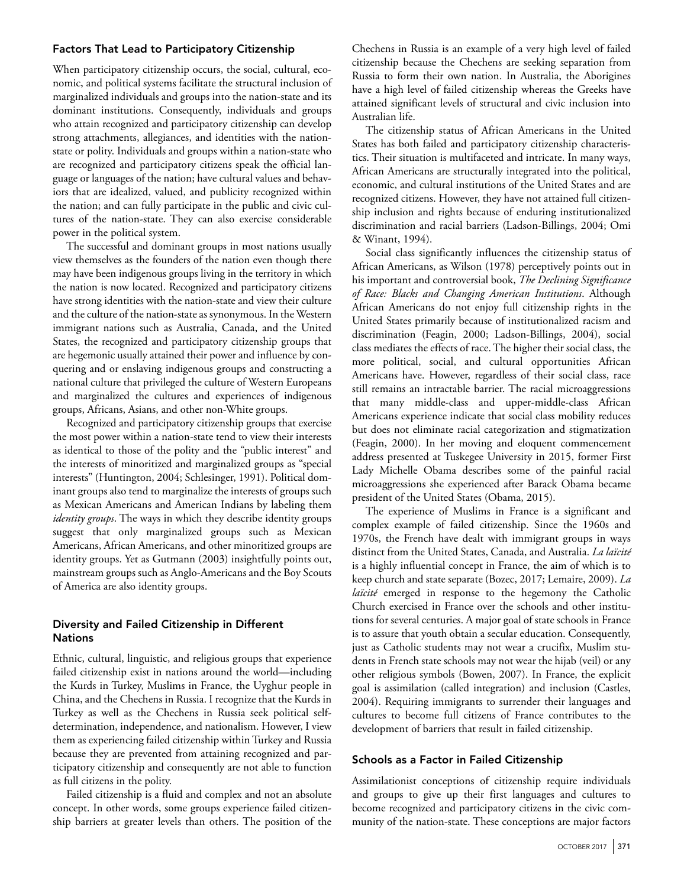## Factors That Lead to Participatory Citizenship

When participatory citizenship occurs, the social, cultural, economic, and political systems facilitate the structural inclusion of marginalized individuals and groups into the nation-state and its dominant institutions. Consequently, individuals and groups who attain recognized and participatory citizenship can develop strong attachments, allegiances, and identities with the nationstate or polity. Individuals and groups within a nation-state who are recognized and participatory citizens speak the official language or languages of the nation; have cultural values and behaviors that are idealized, valued, and publicity recognized within the nation; and can fully participate in the public and civic cultures of the nation-state. They can also exercise considerable power in the political system.

The successful and dominant groups in most nations usually view themselves as the founders of the nation even though there may have been indigenous groups living in the territory in which the nation is now located. Recognized and participatory citizens have strong identities with the nation-state and view their culture and the culture of the nation-state as synonymous. In the Western immigrant nations such as Australia, Canada, and the United States, the recognized and participatory citizenship groups that are hegemonic usually attained their power and influence by conquering and or enslaving indigenous groups and constructing a national culture that privileged the culture of Western Europeans and marginalized the cultures and experiences of indigenous groups, Africans, Asians, and other non-White groups.

Recognized and participatory citizenship groups that exercise the most power within a nation-state tend to view their interests as identical to those of the polity and the "public interest" and the interests of minoritized and marginalized groups as "special interests" (Huntington, 2004; Schlesinger, 1991). Political dominant groups also tend to marginalize the interests of groups such as Mexican Americans and American Indians by labeling them *identity groups*. The ways in which they describe identity groups suggest that only marginalized groups such as Mexican Americans, African Americans, and other minoritized groups are identity groups. Yet as Gutmann (2003) insightfully points out, mainstream groups such as Anglo-Americans and the Boy Scouts of America are also identity groups.

## Diversity and Failed Citizenship in Different Nations

Ethnic, cultural, linguistic, and religious groups that experience failed citizenship exist in nations around the world—including the Kurds in Turkey, Muslims in France, the Uyghur people in China, and the Chechens in Russia. I recognize that the Kurds in Turkey as well as the Chechens in Russia seek political selfdetermination, independence, and nationalism. However, I view them as experiencing failed citizenship within Turkey and Russia because they are prevented from attaining recognized and participatory citizenship and consequently are not able to function as full citizens in the polity.

Failed citizenship is a fluid and complex and not an absolute concept. In other words, some groups experience failed citizenship barriers at greater levels than others. The position of the Chechens in Russia is an example of a very high level of failed citizenship because the Chechens are seeking separation from Russia to form their own nation. In Australia, the Aborigines have a high level of failed citizenship whereas the Greeks have attained significant levels of structural and civic inclusion into Australian life.

The citizenship status of African Americans in the United States has both failed and participatory citizenship characteristics. Their situation is multifaceted and intricate. In many ways, African Americans are structurally integrated into the political, economic, and cultural institutions of the United States and are recognized citizens. However, they have not attained full citizenship inclusion and rights because of enduring institutionalized discrimination and racial barriers (Ladson-Billings, 2004; Omi & Winant, 1994).

Social class significantly influences the citizenship status of African Americans, as Wilson (1978) perceptively points out in his important and controversial book, *The Declining Significance of Race: Blacks and Changing American Institutions*. Although African Americans do not enjoy full citizenship rights in the United States primarily because of institutionalized racism and discrimination (Feagin, 2000; Ladson-Billings, 2004), social class mediates the effects of race. The higher their social class, the more political, social, and cultural opportunities African Americans have. However, regardless of their social class, race still remains an intractable barrier. The racial microaggressions that many middle-class and upper-middle-class African Americans experience indicate that social class mobility reduces but does not eliminate racial categorization and stigmatization (Feagin, 2000). In her moving and eloquent commencement address presented at Tuskegee University in 2015, former First Lady Michelle Obama describes some of the painful racial microaggressions she experienced after Barack Obama became president of the United States (Obama, 2015).

The experience of Muslims in France is a significant and complex example of failed citizenship. Since the 1960s and 1970s, the French have dealt with immigrant groups in ways distinct from the United States, Canada, and Australia. *La laïcité* is a highly influential concept in France, the aim of which is to keep church and state separate (Bozec, 2017; Lemaire, 2009). *La laïcité* emerged in response to the hegemony the Catholic Church exercised in France over the schools and other institutions for several centuries. A major goal of state schools in France is to assure that youth obtain a secular education. Consequently, just as Catholic students may not wear a crucifix, Muslim students in French state schools may not wear the hijab (veil) or any other religious symbols (Bowen, 2007). In France, the explicit goal is assimilation (called integration) and inclusion (Castles, 2004). Requiring immigrants to surrender their languages and cultures to become full citizens of France contributes to the development of barriers that result in failed citizenship.

### Schools as a Factor in Failed Citizenship

Assimilationist conceptions of citizenship require individuals and groups to give up their first languages and cultures to become recognized and participatory citizens in the civic community of the nation-state. These conceptions are major factors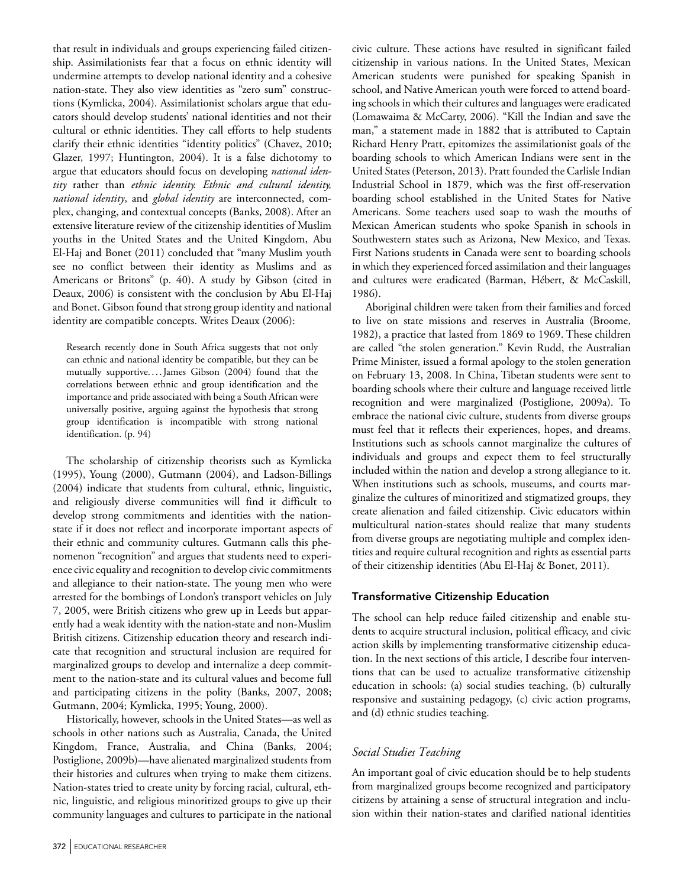that result in individuals and groups experiencing failed citizenship. Assimilationists fear that a focus on ethnic identity will undermine attempts to develop national identity and a cohesive nation-state. They also view identities as "zero sum" constructions (Kymlicka, 2004). Assimilationist scholars argue that educators should develop students' national identities and not their cultural or ethnic identities. They call efforts to help students clarify their ethnic identities "identity politics" (Chavez, 2010; Glazer, 1997; Huntington, 2004). It is a false dichotomy to argue that educators should focus on developing *national identity* rather than *ethnic identity. Ethnic and cultural identity, national identity*, and *global identity* are interconnected, complex, changing, and contextual concepts (Banks, 2008). After an extensive literature review of the citizenship identities of Muslim youths in the United States and the United Kingdom, Abu El-Haj and Bonet (2011) concluded that "many Muslim youth see no conflict between their identity as Muslims and as Americans or Britons" (p. 40). A study by Gibson (cited in Deaux, 2006) is consistent with the conclusion by Abu El-Haj and Bonet. Gibson found that strong group identity and national identity are compatible concepts. Writes Deaux (2006):

Research recently done in South Africa suggests that not only can ethnic and national identity be compatible, but they can be mutually supportive....James Gibson (2004) found that the correlations between ethnic and group identification and the importance and pride associated with being a South African were universally positive, arguing against the hypothesis that strong group identification is incompatible with strong national identification. (p. 94)

The scholarship of citizenship theorists such as Kymlicka (1995), Young (2000), Gutmann (2004), and Ladson-Billings (2004) indicate that students from cultural, ethnic, linguistic, and religiously diverse communities will find it difficult to develop strong commitments and identities with the nationstate if it does not reflect and incorporate important aspects of their ethnic and community cultures. Gutmann calls this phenomenon "recognition" and argues that students need to experience civic equality and recognition to develop civic commitments and allegiance to their nation-state. The young men who were arrested for the bombings of London's transport vehicles on July 7, 2005, were British citizens who grew up in Leeds but apparently had a weak identity with the nation-state and non-Muslim British citizens. Citizenship education theory and research indicate that recognition and structural inclusion are required for marginalized groups to develop and internalize a deep commitment to the nation-state and its cultural values and become full and participating citizens in the polity (Banks, 2007, 2008; Gutmann, 2004; Kymlicka, 1995; Young, 2000).

Historically, however, schools in the United States—as well as schools in other nations such as Australia, Canada, the United Kingdom, France, Australia, and China (Banks, 2004; Postiglione, 2009b)—have alienated marginalized students from their histories and cultures when trying to make them citizens. Nation-states tried to create unity by forcing racial, cultural, ethnic, linguistic, and religious minoritized groups to give up their community languages and cultures to participate in the national civic culture. These actions have resulted in significant failed citizenship in various nations. In the United States, Mexican American students were punished for speaking Spanish in school, and Native American youth were forced to attend boarding schools in which their cultures and languages were eradicated (Lomawaima & McCarty, 2006). "Kill the Indian and save the man," a statement made in 1882 that is attributed to Captain Richard Henry Pratt, epitomizes the assimilationist goals of the boarding schools to which American Indians were sent in the United States (Peterson, 2013). Pratt founded the Carlisle Indian Industrial School in 1879, which was the first off-reservation boarding school established in the United States for Native Americans. Some teachers used soap to wash the mouths of Mexican American students who spoke Spanish in schools in Southwestern states such as Arizona, New Mexico, and Texas. First Nations students in Canada were sent to boarding schools in which they experienced forced assimilation and their languages and cultures were eradicated (Barman, Hébert, & McCaskill, 1986).

Aboriginal children were taken from their families and forced to live on state missions and reserves in Australia (Broome, 1982), a practice that lasted from 1869 to 1969. These children are called "the stolen generation." Kevin Rudd, the Australian Prime Minister, issued a formal apology to the stolen generation on February 13, 2008. In China, Tibetan students were sent to boarding schools where their culture and language received little recognition and were marginalized (Postiglione, 2009a). To embrace the national civic culture, students from diverse groups must feel that it reflects their experiences, hopes, and dreams. Institutions such as schools cannot marginalize the cultures of individuals and groups and expect them to feel structurally included within the nation and develop a strong allegiance to it. When institutions such as schools, museums, and courts marginalize the cultures of minoritized and stigmatized groups, they create alienation and failed citizenship. Civic educators within multicultural nation-states should realize that many students from diverse groups are negotiating multiple and complex identities and require cultural recognition and rights as essential parts of their citizenship identities (Abu El-Haj & Bonet, 2011).

# Transformative Citizenship Education

The school can help reduce failed citizenship and enable students to acquire structural inclusion, political efficacy, and civic action skills by implementing transformative citizenship education. In the next sections of this article, I describe four interventions that can be used to actualize transformative citizenship education in schools: (a) social studies teaching, (b) culturally responsive and sustaining pedagogy, (c) civic action programs, and (d) ethnic studies teaching.

# *Social Studies Teaching*

An important goal of civic education should be to help students from marginalized groups become recognized and participatory citizens by attaining a sense of structural integration and inclusion within their nation-states and clarified national identities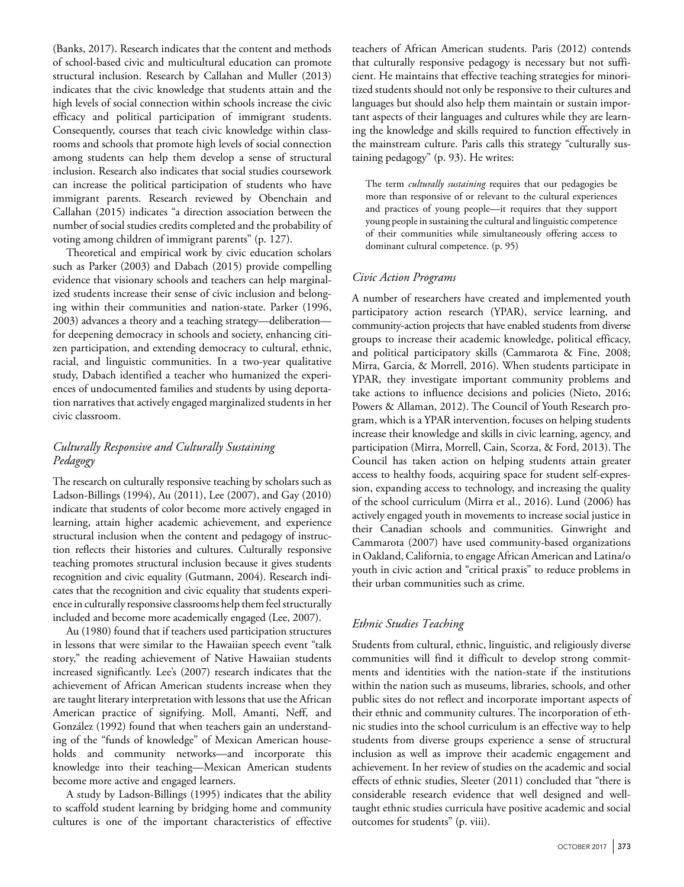(Banks, 2017). Research indicates that the content and methods of school-based civic and multicultural education can promote structural inclusion. Research by Callahan and Muller (2013) indicates that the civic knowledge that students attain and the high levels of social connection within schools increase the civic efficacy and political participation of immigrant students. Consequently, courses that teach civic knowledge within classrooms and schools that promote high levels of social connection among students can help them develop a sense of structural inclusion. Research also indicates that social studies coursework can increase the political participation of students who have immigrant parents. Research reviewed by Obenchain and Callahan (2015) indicates "a direction association between the number of social studies credits completed and the probability of voting among children of immigrant parents" (p. 127).

Theoretical and empirical work by civic education scholars such as Parker (2003) and Dabach (2015) provide compelling evidence that visionary schools and teachers can help marginalized students increase their sense of civic inclusion and belonging within their communities and nation-state. Parker (1996, 2003) advances a theory and a teaching strategy—deliberation for deepening democracy in schools and society, enhancing citizen participation, and extending democracy to cultural, ethnic, racial, and linguistic communities. In a two-year qualitative study, Dabach identified a teacher who humanized the experiences of undocumented families and students by using deportation narratives that actively engaged marginalized students in her civic classroom.

# *Culturally Responsive and Culturally Sustaining Pedagogy*

The research on culturally responsive teaching by scholars such as Ladson-Billings (1994), Au (2011), Lee (2007), and Gay (2010) indicate that students of color become more actively engaged in learning, attain higher academic achievement, and experience structural inclusion when the content and pedagogy of instruction reflects their histories and cultures. Culturally responsive teaching promotes structural inclusion because it gives students recognition and civic equality (Gutmann, 2004). Research indicates that the recognition and civic equality that students experience in culturally responsive classrooms help them feel structurally included and become more academically engaged (Lee, 2007).

Au (1980) found that if teachers used participation structures in lessons that were similar to the Hawaiian speech event "talk story," the reading achievement of Native Hawaiian students increased significantly. Lee's (2007) research indicates that the achievement of African American students increase when they are taught literary interpretation with lessons that use the African American practice of signifying. Moll, Amanti, Neff, and González (1992) found that when teachers gain an understanding of the "funds of knowledge" of Mexican American households and community networks—and incorporate this knowledge into their teaching—Mexican American students become more active and engaged learners.

A study by Ladson-Billings (1995) indicates that the ability to scaffold student learning by bridging home and community cultures is one of the important characteristics of effective

teachers of African American students. Paris (2012) contends that culturally responsive pedagogy is necessary but not sufficient. He maintains that effective teaching strategies for minoritized students should not only be responsive to their cultures and languages but should also help them maintain or sustain important aspects of their languages and cultures while they are learning the knowledge and skills required to function effectively in the mainstream culture. Paris calls this strategy "culturally sustaining pedagogy" (p. 93). He writes:

The term *culturally sustaining* requires that our pedagogies be more than responsive of or relevant to the cultural experiences and practices of young people—it requires that they support young people in sustaining the cultural and linguistic competence of their communities while simultaneously offering access to dominant cultural competence. (p. 95)

## *Civic Action Programs*

A number of researchers have created and implemented youth participatory action research (YPAR), service learning, and community-action projects that have enabled students from diverse groups to increase their academic knowledge, political efficacy, and political participatory skills (Cammarota & Fine, 2008; Mirra, Garcia, & Morrell, 2016). When students participate in YPAR, they investigate important community problems and take actions to influence decisions and policies (Nieto, 2016; Powers & Allaman, 2012). The Council of Youth Research program, which is a YPAR intervention, focuses on helping students increase their knowledge and skills in civic learning, agency, and participation (Mirra, Morrell, Cain, Scorza, & Ford, 2013). The Council has taken action on helping students attain greater access to healthy foods, acquiring space for student self-expression, expanding access to technology, and increasing the quality of the school curriculum (Mirra et al., 2016). Lund (2006) has actively engaged youth in movements to increase social justice in their Canadian schools and communities. Ginwright and Cammarota (2007) have used community-based organizations in Oakland, California, to engage African American and Latina/o youth in civic action and "critical praxis" to reduce problems in their urban communities such as crime.

### *Ethnic Studies Teaching*

Students from cultural, ethnic, linguistic, and religiously diverse communities will find it difficult to develop strong commitments and identities with the nation-state if the institutions within the nation such as museums, libraries, schools, and other public sites do not reflect and incorporate important aspects of their ethnic and community cultures. The incorporation of ethnic studies into the school curriculum is an effective way to help students from diverse groups experience a sense of structural inclusion as well as improve their academic engagement and achievement. In her review of studies on the academic and social effects of ethnic studies, Sleeter (2011) concluded that "there is considerable research evidence that well designed and welltaught ethnic studies curricula have positive academic and social outcomes for students" (p. viii).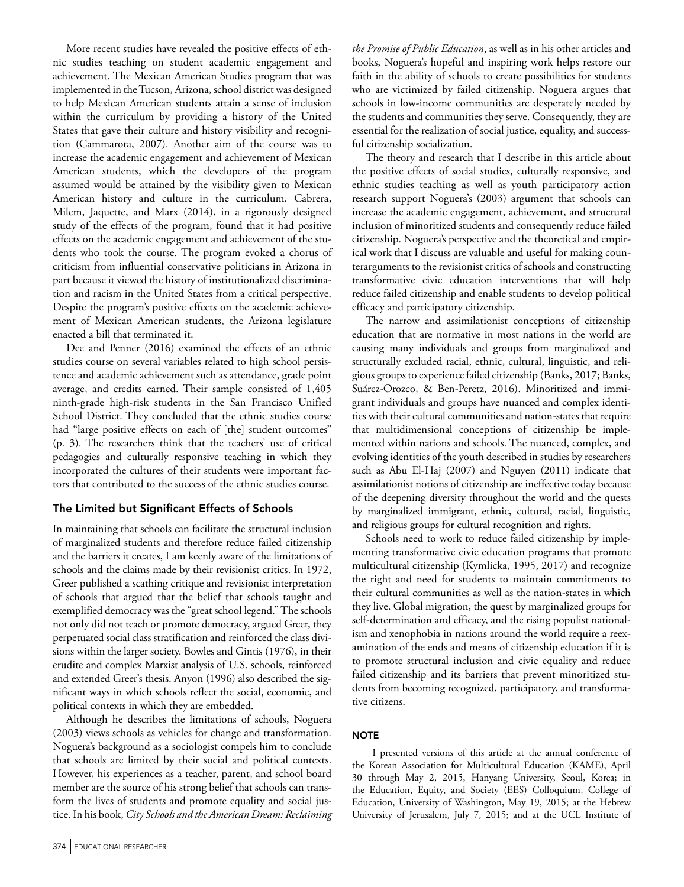More recent studies have revealed the positive effects of ethnic studies teaching on student academic engagement and achievement. The Mexican American Studies program that was implemented in the Tucson, Arizona, school district was designed to help Mexican American students attain a sense of inclusion within the curriculum by providing a history of the United States that gave their culture and history visibility and recognition (Cammarota, 2007). Another aim of the course was to increase the academic engagement and achievement of Mexican American students, which the developers of the program assumed would be attained by the visibility given to Mexican American history and culture in the curriculum. Cabrera, Milem, Jaquette, and Marx (2014), in a rigorously designed study of the effects of the program, found that it had positive effects on the academic engagement and achievement of the students who took the course. The program evoked a chorus of criticism from influential conservative politicians in Arizona in part because it viewed the history of institutionalized discrimination and racism in the United States from a critical perspective. Despite the program's positive effects on the academic achievement of Mexican American students, the Arizona legislature enacted a bill that terminated it.

Dee and Penner (2016) examined the effects of an ethnic studies course on several variables related to high school persistence and academic achievement such as attendance, grade point average, and credits earned. Their sample consisted of 1,405 ninth-grade high-risk students in the San Francisco Unified School District. They concluded that the ethnic studies course had "large positive effects on each of [the] student outcomes" (p. 3). The researchers think that the teachers' use of critical pedagogies and culturally responsive teaching in which they incorporated the cultures of their students were important factors that contributed to the success of the ethnic studies course.

## The Limited but Significant Effects of Schools

In maintaining that schools can facilitate the structural inclusion of marginalized students and therefore reduce failed citizenship and the barriers it creates, I am keenly aware of the limitations of schools and the claims made by their revisionist critics. In 1972, Greer published a scathing critique and revisionist interpretation of schools that argued that the belief that schools taught and exemplified democracy was the "great school legend." The schools not only did not teach or promote democracy, argued Greer, they perpetuated social class stratification and reinforced the class divisions within the larger society. Bowles and Gintis (1976), in their erudite and complex Marxist analysis of U.S. schools, reinforced and extended Greer's thesis. Anyon (1996) also described the significant ways in which schools reflect the social, economic, and political contexts in which they are embedded.

Although he describes the limitations of schools, Noguera (2003) views schools as vehicles for change and transformation. Noguera's background as a sociologist compels him to conclude that schools are limited by their social and political contexts. However, his experiences as a teacher, parent, and school board member are the source of his strong belief that schools can transform the lives of students and promote equality and social justice. In his book, *City Schools and the American Dream: Reclaiming* 

*the Promise of Public Education*, as well as in his other articles and books, Noguera's hopeful and inspiring work helps restore our faith in the ability of schools to create possibilities for students who are victimized by failed citizenship. Noguera argues that schools in low-income communities are desperately needed by the students and communities they serve. Consequently, they are essential for the realization of social justice, equality, and successful citizenship socialization.

The theory and research that I describe in this article about the positive effects of social studies, culturally responsive, and ethnic studies teaching as well as youth participatory action research support Noguera's (2003) argument that schools can increase the academic engagement, achievement, and structural inclusion of minoritized students and consequently reduce failed citizenship. Noguera's perspective and the theoretical and empirical work that I discuss are valuable and useful for making counterarguments to the revisionist critics of schools and constructing transformative civic education interventions that will help reduce failed citizenship and enable students to develop political efficacy and participatory citizenship.

The narrow and assimilationist conceptions of citizenship education that are normative in most nations in the world are causing many individuals and groups from marginalized and structurally excluded racial, ethnic, cultural, linguistic, and religious groups to experience failed citizenship (Banks, 2017; Banks, Suárez-Orozco, & Ben-Peretz, 2016). Minoritized and immigrant individuals and groups have nuanced and complex identities with their cultural communities and nation-states that require that multidimensional conceptions of citizenship be implemented within nations and schools. The nuanced, complex, and evolving identities of the youth described in studies by researchers such as Abu El-Haj (2007) and Nguyen (2011) indicate that assimilationist notions of citizenship are ineffective today because of the deepening diversity throughout the world and the quests by marginalized immigrant, ethnic, cultural, racial, linguistic, and religious groups for cultural recognition and rights.

Schools need to work to reduce failed citizenship by implementing transformative civic education programs that promote multicultural citizenship (Kymlicka, 1995, 2017) and recognize the right and need for students to maintain commitments to their cultural communities as well as the nation-states in which they live. Global migration, the quest by marginalized groups for self-determination and efficacy, and the rising populist nationalism and xenophobia in nations around the world require a reexamination of the ends and means of citizenship education if it is to promote structural inclusion and civic equality and reduce failed citizenship and its barriers that prevent minoritized students from becoming recognized, participatory, and transformative citizens.

#### **NOTE**

I presented versions of this article at the annual conference of the Korean Association for Multicultural Education (KAME), April 30 through May 2, 2015, Hanyang University, Seoul, Korea; in the Education, Equity, and Society (EES) Colloquium, College of Education, University of Washington, May 19, 2015; at the Hebrew University of Jerusalem, July 7, 2015; and at the UCL Institute of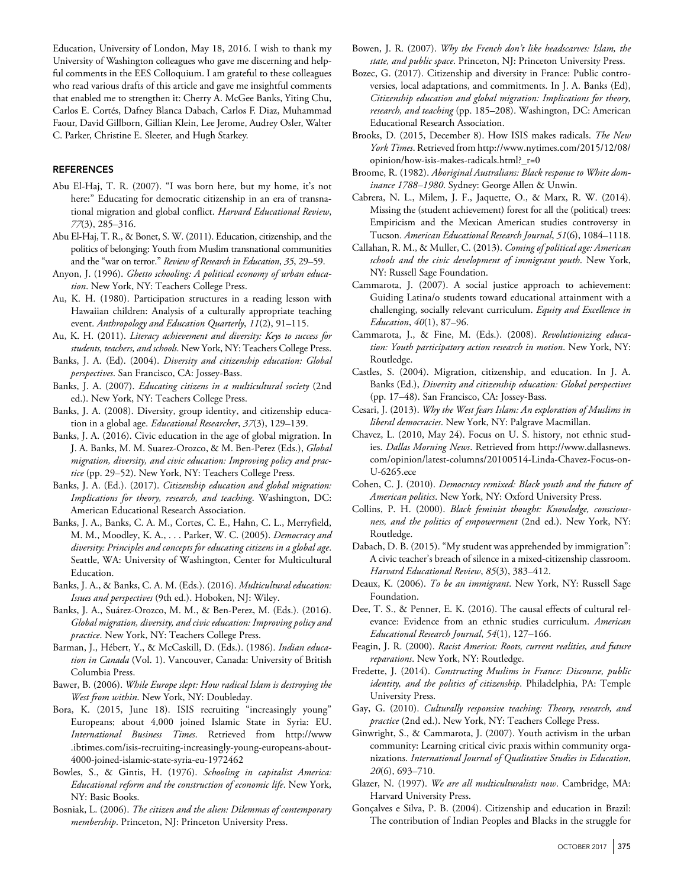Education, University of London, May 18, 2016. I wish to thank my University of Washington colleagues who gave me discerning and helpful comments in the EES Colloquium. I am grateful to these colleagues who read various drafts of this article and gave me insightful comments that enabled me to strengthen it: Cherry A. McGee Banks, Yiting Chu, Carlos E. Cortés, Dafney Blanca Dabach, Carlos F. Diaz, Muhammad Faour, David Gillborn, Gillian Klein, Lee Jerome, Audrey Osler, Walter C. Parker, Christine E. Sleeter, and Hugh Starkey.

#### **REFERENCES**

- Abu El-Haj, T. R. (2007). "I was born here, but my home, it's not here:" Educating for democratic citizenship in an era of transnational migration and global conflict. *Harvard Educational Review*, *77*(3), 285–316.
- Abu El-Haj, T. R., & Bonet, S. W. (2011). Education, citizenship, and the politics of belonging: Youth from Muslim transnational communities and the "war on terror." *Review of Research in Education*, *35*, 29–59.
- Anyon, J. (1996). *Ghetto schooling: A political economy of urban education*. New York, NY: Teachers College Press.
- Au, K. H. (1980). Participation structures in a reading lesson with Hawaiian children: Analysis of a culturally appropriate teaching event. *Anthropology and Education Quarterly*, *11*(2), 91–115.
- Au, K. H. (2011). *Literacy achievement and diversity: Keys to success for students, teachers, and schools*. New York, NY: Teachers College Press.
- Banks, J. A. (Ed). (2004). *Diversity and citizenship education: Global perspectives*. San Francisco, CA: Jossey-Bass.
- Banks, J. A. (2007). *Educating citizens in a multicultural society* (2nd ed.). New York, NY: Teachers College Press.
- Banks, J. A. (2008). Diversity, group identity, and citizenship education in a global age. *Educational Researcher*, *37*(3), 129–139.
- Banks, J. A. (2016). Civic education in the age of global migration. In J. A. Banks, M. M. Suarez-Orozco, & M. Ben-Perez (Eds.), *Global migration, diversity, and civic education: Improving policy and practice* (pp. 29–52). New York, NY: Teachers College Press.
- Banks, J. A. (Ed.). (2017). *Citizenship education and global migration: Implications for theory, research, and teaching*. Washington, DC: American Educational Research Association.
- Banks, J. A., Banks, C. A. M., Cortes, C. E., Hahn, C. L., Merryfield, M. M., Moodley, K. A., . . . Parker, W. C. (2005). *Democracy and diversity: Principles and concepts for educating citizens in a global age*. Seattle, WA: University of Washington, Center for Multicultural Education.
- Banks, J. A., & Banks, C. A. M. (Eds.). (2016). *Multicultural education: Issues and perspectives* (9th ed.). Hoboken, NJ: Wiley.
- Banks, J. A., Suárez-Orozco, M. M., & Ben-Perez, M. (Eds.). (2016). *Global migration, diversity, and civic education: Improving policy and practice*. New York, NY: Teachers College Press.
- Barman, J., Hébert, Y., & McCaskill, D. (Eds.). (1986). *Indian education in Canada* (Vol. 1). Vancouver, Canada: University of British Columbia Press.
- Bawer, B. (2006). *While Europe slept: How radical Islam is destroying the West from within*. New York, NY: Doubleday.
- Bora, K. (2015, June 18). ISIS recruiting "increasingly young" Europeans; about 4,000 joined Islamic State in Syria: EU. *International Business Times*. Retrieved from [http://www](http://www.ibtimes.com/isis-recruiting-increasingly-young-europeans-about-4000-joined-islamic-state-syria-eu-1972462) [.ibtimes.com/isis-recruiting-increasingly-young-europeans-about-](http://www.ibtimes.com/isis-recruiting-increasingly-young-europeans-about-4000-joined-islamic-state-syria-eu-1972462)[4000-joined-islamic-state-syria-eu-1972462](http://www.ibtimes.com/isis-recruiting-increasingly-young-europeans-about-4000-joined-islamic-state-syria-eu-1972462)
- Bowles, S., & Gintis, H. (1976). *Schooling in capitalist America: Educational reform and the construction of economic life*. New York, NY: Basic Books.
- Bosniak, L. (2006). *The citizen and the alien: Dilemmas of contemporary membership*. Princeton, NJ: Princeton University Press.
- Bowen, J. R. (2007). *Why the French don't like headscarves: Islam, the state, and public space*. Princeton, NJ: Princeton University Press.
- Bozec, G. (2017). Citizenship and diversity in France: Public controversies, local adaptations, and commitments. In J. A. Banks (Ed), *Citizenship education and global migration: Implications for theory, research, and teaching* (pp. 185–208). Washington, DC: American Educational Research Association.
- Brooks, D. (2015, December 8). How ISIS makes radicals. *The New York Times*. Retrieved from [http://www.nytimes.com/2015/12/08/](http://www.nytimes.com/2015/12/08/opinion/how-isis-makes-radicals.html?_r=0) [opinion/how-isis-makes-radicals.html?\\_r=0](http://www.nytimes.com/2015/12/08/opinion/how-isis-makes-radicals.html?_r=0)
- Broome, R. (1982). *Aboriginal Australians: Black response to White dominance 1788–1980*. Sydney: George Allen & Unwin.
- Cabrera, N. L., Milem, J. F., Jaquette, O., & Marx, R. W. (2014). Missing the (student achievement) forest for all the (political) trees: Empiricism and the Mexican American studies controversy in Tucson. *American Educational Research Journal*, *51*(6), 1084–1118.
- Callahan, R. M., & Muller, C. (2013). *Coming of political age: American schools and the civic development of immigrant youth*. New York, NY: Russell Sage Foundation.
- Cammarota, J. (2007). A social justice approach to achievement: Guiding Latina/o students toward educational attainment with a challenging, socially relevant curriculum. *Equity and Excellence in Education*, *40*(1), 87–96.
- Cammarota, J., & Fine, M. (Eds.). (2008). *Revolutionizing education: Youth participatory action research in motion*. New York, NY: Routledge.
- Castles, S. (2004). Migration, citizenship, and education. In J. A. Banks (Ed.), *Diversity and citizenship education: Global perspectives* (pp. 17–48). San Francisco, CA: Jossey-Bass.
- Cesari, J. (2013). *Why the West fears Islam: An exploration of Muslims in liberal democracies*. New York, NY: Palgrave Macmillan.
- Chavez, L. (2010, May 24). Focus on U. S. history, not ethnic studies. *Dallas Morning News*. Retrieved from [http://www.dallasnews.](http://www.dallasnews.com/opinion/latest-columns/20100514-Linda-Chavez-Focus-on-U-6265.ece) [com/opinion/latest-columns/20100514-Linda-Chavez-Focus-on-](http://www.dallasnews.com/opinion/latest-columns/20100514-Linda-Chavez-Focus-on-U-6265.ece)[U-6265.ece](http://www.dallasnews.com/opinion/latest-columns/20100514-Linda-Chavez-Focus-on-U-6265.ece)
- Cohen, C. J. (2010). *Democracy remixed: Black youth and the future of American politics*. New York, NY: Oxford University Press.
- Collins, P. H. (2000). *Black feminist thought: Knowledge, consciousness, and the politics of empowerment* (2nd ed.). New York, NY: Routledge.
- Dabach, D. B. (2015). "My student was apprehended by immigration": A civic teacher's breach of silence in a mixed-citizenship classroom. *Harvard Educational Review*, *85*(3), 383–412.
- Deaux, K. (2006). *To be an immigrant*. New York, NY: Russell Sage Foundation.
- Dee, T. S., & Penner, E. K. (2016). The causal effects of cultural relevance: Evidence from an ethnic studies curriculum. *American Educational Research Journal*, *54*(1), 127–166.
- Feagin, J. R. (2000). *Racist America: Roots, current realities, and future reparations*. New York, NY: Routledge.
- Fredette, J. (2014). *Constructing Muslims in France: Discourse, public identity, and the politics of citizenship*. Philadelphia, PA: Temple University Press.
- Gay, G. (2010). *Culturally responsive teaching: Theory, research, and practice* (2nd ed.). New York, NY: Teachers College Press.
- Ginwright, S., & Cammarota, J. (2007). Youth activism in the urban community: Learning critical civic praxis within community organizations. *International Journal of Qualitative Studies in Education*, *20*(6), 693–710.
- Glazer, N. (1997). *We are all multiculturalists now*. Cambridge, MA: Harvard University Press.
- Gonçalves e Silva, P. B. (2004). Citizenship and education in Brazil: The contribution of Indian Peoples and Blacks in the struggle for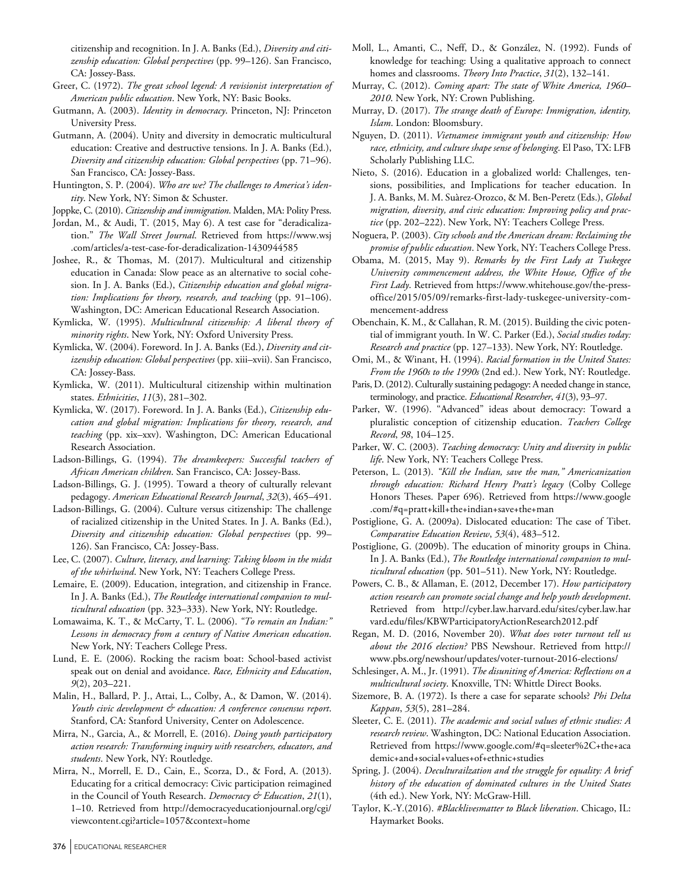citizenship and recognition. In J. A. Banks (Ed.), *Diversity and citizenship education: Global perspectives* (pp. 99–126). San Francisco, CA: Jossey-Bass.

- Greer, C. (1972). *The great school legend: A revisionist interpretation of American public education*. New York, NY: Basic Books.
- Gutmann, A. (2003). *Identity in democracy*. Princeton, NJ: Princeton University Press.
- Gutmann, A. (2004). Unity and diversity in democratic multicultural education: Creative and destructive tensions. In J. A. Banks (Ed.), *Diversity and citizenship education: Global perspectives* (pp. 71–96). San Francisco, CA: Jossey-Bass.
- Huntington, S. P. (2004). *Who are we? The challenges to America's identity*. New York, NY: Simon & Schuster.
- Joppke, C. (2010). *Citizenship and immigration*. Malden, MA: Polity Press.
- Jordan, M., & Audi, T. (2015, May 6). A test case for "deradicalization." *The Wall Street Journal*. Retrieved from [https://www.wsj](https://www.wsj.com/articles/a-test-case-for-deradicalization-1430944585) [.com/articles/a-test-case-for-deradicalization-1430944585](https://www.wsj.com/articles/a-test-case-for-deradicalization-1430944585)
- Joshee, R., & Thomas, M. (2017). Multicultural and citizenship education in Canada: Slow peace as an alternative to social cohesion. In J. A. Banks (Ed.), *Citizenship education and global migration: Implications for theory, research, and teaching* (pp. 91–106). Washington, DC: American Educational Research Association.
- Kymlicka, W. (1995). *Multicultural citizenship: A liberal theory of minority rights*. New York, NY: Oxford University Press.
- Kymlicka, W. (2004). Foreword. In J. A. Banks (Ed.), *Diversity and citizenship education: Global perspectives* (pp. xiii–xvii). San Francisco, CA: Jossey-Bass.
- Kymlicka, W. (2011). Multicultural citizenship within multination states. *Ethnicities*, *11*(3), 281–302.
- Kymlicka, W. (2017). Foreword. In J. A. Banks (Ed.), *Citizenship education and global migration: Implications for theory, research, and teaching* (pp. xix–xxv). Washington, DC: American Educational Research Association.
- Ladson-Billings, G. (1994). *The dreamkeepers: Successful teachers of African American children*. San Francisco, CA: Jossey-Bass.
- Ladson-Billings, G. J. (1995). Toward a theory of culturally relevant pedagogy. *American Educational Research Journal*, *32*(3), 465–491.
- Ladson-Billings, G. (2004). Culture versus citizenship: The challenge of racialized citizenship in the United States. In J. A. Banks (Ed.), *Diversity and citizenship education: Global perspectives* (pp. 99– 126). San Francisco, CA: Jossey-Bass.
- Lee, C. (2007). *Culture, literacy, and learning: Taking bloom in the midst of the whirlwind*. New York, NY: Teachers College Press.
- Lemaire, E. (2009). Education, integration, and citizenship in France. In J. A. Banks (Ed.), *The Routledge international companion to multicultural education* (pp. 323–333). New York, NY: Routledge.
- Lomawaima, K. T., & McCarty, T. L. (2006). *"To remain an Indian:" Lessons in democracy from a century of Native American education*. New York, NY: Teachers College Press.
- Lund, E. E. (2006). Rocking the racism boat: School-based activist speak out on denial and avoidance. *Race, Ethnicity and Education*, *9*(2), 203–221.
- Malin, H., Ballard, P. J., Attai, L., Colby, A., & Damon, W. (2014). *Youth civic development & education: A conference consensus report*. Stanford, CA: Stanford University, Center on Adolescence.
- Mirra, N., Garcia, A., & Morrell, E. (2016). *Doing youth participatory action research: Transforming inquiry with researchers, educators, and students*. New York, NY: Routledge.
- Mirra, N., Morrell, E. D., Cain, E., Scorza, D., & Ford, A. (2013). Educating for a critical democracy: Civic participation reimagined in the Council of Youth Research. *Democracy & Education*, *21*(1), 1–10. Retrieved from http://democracyeducationjournal.org/cgi/ viewcontent.cgi?article=1057&context=home
- Moll, L., Amanti, C., Neff, D., & González, N. (1992). Funds of knowledge for teaching: Using a qualitative approach to connect homes and classrooms. *Theory Into Practice*, *31*(2), 132–141.
- Murray, C. (2012). *Coming apart: The state of White America, 1960– 2010*. New York, NY: Crown Publishing.
- Murray, D. (2017). *The strange death of Europe: Immigration, identity, Islam*. London: Bloomsbury.
- Nguyen, D. (2011). *Vietnamese immigrant youth and citizenship: How race, ethnicity, and culture shape sense of belonging*. El Paso, TX: LFB Scholarly Publishing LLC.
- Nieto, S. (2016). Education in a globalized world: Challenges, tensions, possibilities, and Implications for teacher education. In J. A. Banks, M. M. Suàrez-Orozco, & M. Ben-Peretz (Eds.), *Global migration, diversity, and civic education: Improving policy and practice* (pp. 202–222). New York, NY: Teachers College Press.
- Noguera, P. (2003). *City schools and the American dream: Reclaiming the promise of public education*. New York, NY: Teachers College Press.
- Obama, M. (2015, May 9). *Remarks by the First Lady at Tuskegee University commencement address, the White House, Office of the First Lady*. Retrieved from https://www.whitehouse.gov/the-pressoffice/2015/05/09/remarks-first-lady-tuskegee-university-commencement-address
- Obenchain, K. M., & Callahan, R. M. (2015). Building the civic potential of immigrant youth. In W. C. Parker (Ed.), *Social studies today: Research and practice* (pp. 127–133). New York, NY: Routledge.
- Omi, M., & Winant, H. (1994). *Racial formation in the United States: From the 1960s to the 1990s* (2nd ed.). New York, NY: Routledge.
- Paris, D. (2012). Culturally sustaining pedagogy: A needed change in stance, terminology, and practice. *Educational Researcher*, *41*(3), 93–97.
- Parker, W. (1996). "Advanced" ideas about democracy: Toward a pluralistic conception of citizenship education. *Teachers College Record*, *98*, 104–125.
- Parker, W. C. (2003). *Teaching democracy: Unity and diversity in public life*. New York, NY: Teachers College Press.
- Peterson, L. (2013). *"Kill the Indian, save the man," Americanization through education: Richard Henry Pratt's legacy* (Colby College Honors Theses. Paper 696). Retrieved from [https://www.google](https://www.google.com/#q=pratt+kill+the+indian+save+the+man) [.com/#q=pratt+kill+the+indian+save+the+man](https://www.google.com/#q=pratt+kill+the+indian+save+the+man)
- Postiglione, G. A. (2009a). Dislocated education: The case of Tibet. *Comparative Education Review*, *53*(4), 483–512.
- Postiglione, G. (2009b). The education of minority groups in China. In J. A. Banks (Ed.), *The Routledge international companion to multicultural education* (pp. 501–511). New York, NY: Routledge.
- Powers, C. B., & Allaman, E. (2012, December 17). *How participatory action research can promote social change and help youth development*. Retrieved from http://cyber.law.harvard.edu/sites/cyber.law.har vard.edu/files/KBWParticipatoryActionResearch2012.pdf
- Regan, M. D. (2016, November 20). *What does voter turnout tell us about the 2016 election?* PBS Newshour. Retrieved from http:// www.pbs.org/newshour/updates/voter-turnout-2016-elections/
- Schlesinger, A. M., Jr. (1991). *The disuniting of America: Reflections on a multicultural society*. Knoxville, TN: Whittle Direct Books.
- Sizemore, B. A. (1972). Is there a case for separate schools? *Phi Delta Kappan*, *53*(5), 281–284.
- Sleeter, C. E. (2011). *The academic and social values of ethnic studies: A research review*. Washington, DC: National Education Association. Retrieved from [https://www.google.com/#q=sleeter%2C+the+aca](https://www.google.com/#q=sleeter%2C+the+academic+and+social+values+of+ethnic+studies) [demic+and+social+values+of+ethnic+studies](https://www.google.com/#q=sleeter%2C+the+academic+and+social+values+of+ethnic+studies)
- Spring, J. (2004). *Deculturailzation and the struggle for equality: A brief history of the education of dominated cultures in the United States* (4th ed.). New York, NY: McGraw-Hill.
- Taylor, K.-Y.(2016). *#Blacklivesmatter to Black liberation*. Chicago, IL: Haymarket Books.